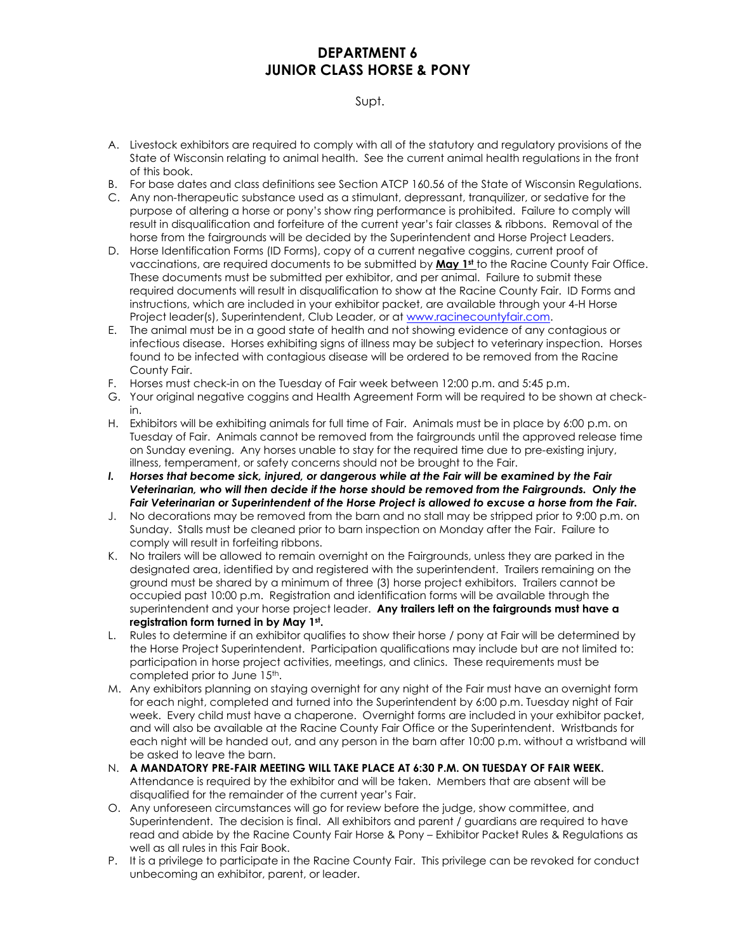# **DEPARTMENT 6 JUNIOR CLASS HORSE & PONY**

## Supt.

- A. Livestock exhibitors are required to comply with all of the statutory and regulatory provisions of the State of Wisconsin relating to animal health. See the current animal health regulations in the front of this book.
- B. For base dates and class definitions see Section ATCP 160.56 of the State of Wisconsin Regulations.
- C. Any non-therapeutic substance used as a stimulant, depressant, tranquilizer, or sedative for the purpose of altering a horse or pony's show ring performance is prohibited. Failure to comply will result in disqualification and forfeiture of the current year's fair classes & ribbons. Removal of the horse from the fairgrounds will be decided by the Superintendent and Horse Project Leaders.
- D. Horse Identification Forms (ID Forms), copy of a current negative coggins, current proof of vaccinations, are required documents to be submitted by **May 1st** to the Racine County Fair Office. These documents must be submitted per exhibitor, and per animal. Failure to submit these required documents will result in disqualification to show at the Racine County Fair. ID Forms and instructions, which are included in your exhibitor packet, are available through your 4-H Horse Project leader(s), Superintendent, Club Leader, or at [www.racinecountyfair.com.](http://www.racinecountyfair.com/)
- E. The animal must be in a good state of health and not showing evidence of any contagious or infectious disease. Horses exhibiting signs of illness may be subject to veterinary inspection. Horses found to be infected with contagious disease will be ordered to be removed from the Racine County Fair.
- F. Horses must check-in on the Tuesday of Fair week between 12:00 p.m. and 5:45 p.m.
- G. Your original negative coggins and Health Agreement Form will be required to be shown at checkin.
- H. Exhibitors will be exhibiting animals for full time of Fair. Animals must be in place by 6:00 p.m. on Tuesday of Fair. Animals cannot be removed from the fairgrounds until the approved release time on Sunday evening. Any horses unable to stay for the required time due to pre-existing injury, illness, temperament, or safety concerns should not be brought to the Fair.
- *I. Horses that become sick, injured, or dangerous while at the Fair will be examined by the Fair Veterinarian, who will then decide if the horse should be removed from the Fairgrounds. Only the Fair Veterinarian or Superintendent of the Horse Project is allowed to excuse a horse from the Fair.*
- J. No decorations may be removed from the barn and no stall may be stripped prior to 9:00 p.m. on Sunday. Stalls must be cleaned prior to barn inspection on Monday after the Fair. Failure to comply will result in forfeiting ribbons.
- K. No trailers will be allowed to remain overnight on the Fairgrounds, unless they are parked in the designated area, identified by and registered with the superintendent. Trailers remaining on the ground must be shared by a minimum of three (3) horse project exhibitors. Trailers cannot be occupied past 10:00 p.m. Registration and identification forms will be available through the superintendent and your horse project leader. **Any trailers left on the fairgrounds must have a registration form turned in by May 1st .**
- L. Rules to determine if an exhibitor qualifies to show their horse / pony at Fair will be determined by the Horse Project Superintendent. Participation qualifications may include but are not limited to: participation in horse project activities, meetings, and clinics. These requirements must be completed prior to June 15th.
- M. Any exhibitors planning on staying overnight for any night of the Fair must have an overnight form for each night, completed and turned into the Superintendent by 6:00 p.m. Tuesday night of Fair week. Every child must have a chaperone. Overnight forms are included in your exhibitor packet, and will also be available at the Racine County Fair Office or the Superintendent. Wristbands for each night will be handed out, and any person in the barn after 10:00 p.m. without a wristband will be asked to leave the barn.
- N. **A MANDATORY PRE-FAIR MEETING WILL TAKE PLACE AT 6:30 P.M. ON TUESDAY OF FAIR WEEK.**  Attendance is required by the exhibitor and will be taken. Members that are absent will be disqualified for the remainder of the current year's Fair.
- O. Any unforeseen circumstances will go for review before the judge, show committee, and Superintendent. The decision is final. All exhibitors and parent / guardians are required to have read and abide by the Racine County Fair Horse & Pony – Exhibitor Packet Rules & Regulations as well as all rules in this Fair Book.
- P. It is a privilege to participate in the Racine County Fair. This privilege can be revoked for conduct unbecoming an exhibitor, parent, or leader.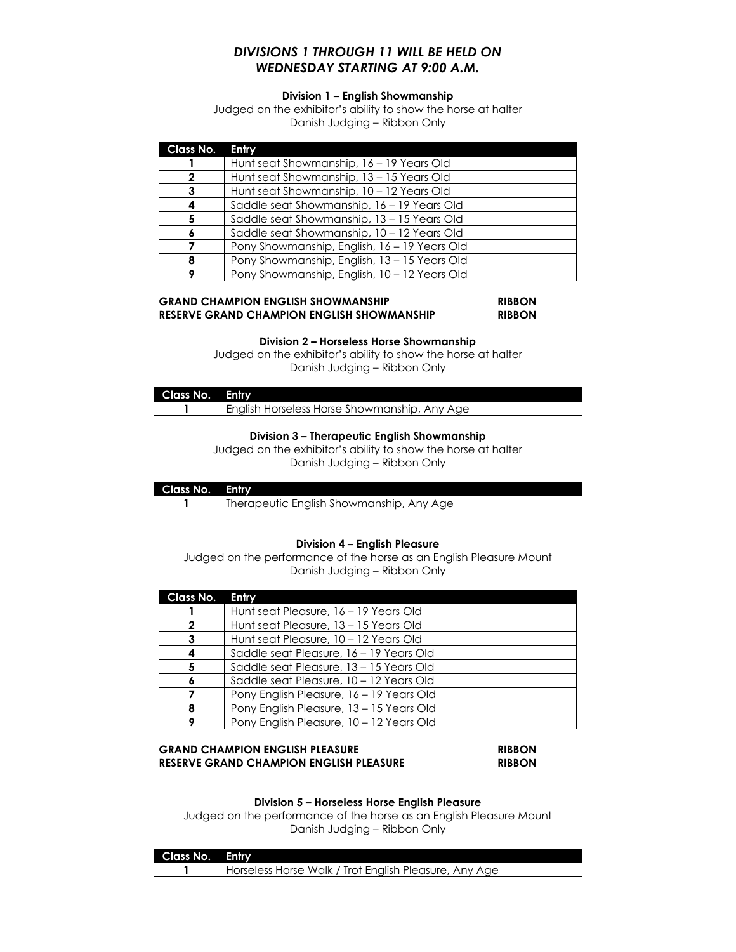# *DIVISIONS 1 THROUGH 11 WILL BE HELD ON WEDNESDAY STARTING AT 9:00 A.M.*

## **Division 1 – English Showmanship**

Judged on the exhibitor's ability to show the horse at halter Danish Judging – Ribbon Only

| Class No. | Entry                                        |
|-----------|----------------------------------------------|
|           | Hunt seat Showmanship, 16 – 19 Years Old     |
| 2         | Hunt seat Showmanship, 13 - 15 Years Old     |
| 3         | Hunt seat Showmanship, 10 - 12 Years Old     |
|           | Saddle seat Showmanship, 16 - 19 Years Old   |
| 5         | Saddle seat Showmanship, 13 - 15 Years Old   |
|           | Saddle seat Showmanship, 10 - 12 Years Old   |
|           | Pony Showmanship, English, 16 - 19 Years Old |
| 8         | Pony Showmanship, English, 13 - 15 Years Old |
|           | Pony Showmanship, English, 10 - 12 Years Old |

#### **GRAND CHAMPION ENGLISH SHOWMANSHIP RIBBON RESERVE GRAND CHAMPION ENGLISH SHOWMANSHIP RIBBON**

#### **Division 2 – Horseless Horse Showmanship**

Judged on the exhibitor's ability to show the horse at halter Danish Judging – Ribbon Only

| Class No. Entry |                                              |
|-----------------|----------------------------------------------|
|                 | English Horseless Horse Showmanship, Any Age |

#### **Division 3 – Therapeutic English Showmanship**

Judged on the exhibitor's ability to show the horse at halter Danish Judging – Ribbon Only

| Class No. Entry |                                          |
|-----------------|------------------------------------------|
|                 | Therapeutic English Showmanship, Any Age |

#### **Division 4 – English Pleasure**

Judged on the performance of the horse as an English Pleasure Mount Danish Judging – Ribbon Only

| Class No.    | Entry                                    |
|--------------|------------------------------------------|
|              | Hunt seat Pleasure, 16 - 19 Years Old    |
| $\mathbf{2}$ | Hunt seat Pleasure, 13 – 15 Years Old    |
| 3            | Hunt seat Pleasure, 10 – 12 Years Old    |
|              | Saddle seat Pleasure, 16 – 19 Years Old  |
| 5            | Saddle seat Pleasure, 13 - 15 Years Old  |
|              | Saddle seat Pleasure, 10 - 12 Years Old  |
|              | Pony English Pleasure, 16 – 19 Years Old |
| 8            | Pony English Pleasure, 13 - 15 Years Old |
| ۰            | Pony English Pleasure, 10 - 12 Years Old |

#### **GRAND CHAMPION ENGLISH PLEASURE RIBBON RESERVE GRAND CHAMPION ENGLISH PLEASURE RIBBON**

#### **Division 5 – Horseless Horse English Pleasure**

Judged on the performance of the horse as an English Pleasure Mount Danish Judging – Ribbon Only

| Class No. Entry |                                                       |
|-----------------|-------------------------------------------------------|
|                 | Horseless Horse Walk / Trot English Pleasure, Any Age |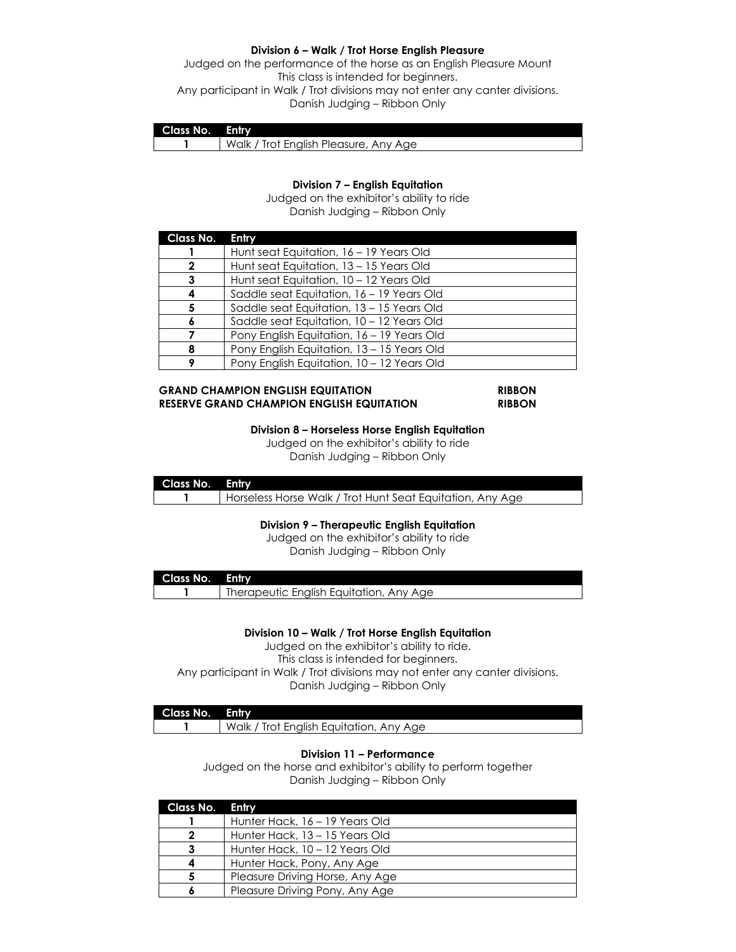#### **Division 6 – Walk / Trot Horse English Pleasure**

Judged on the performance of the horse as an English Pleasure Mount This class is intended for beginners. Any participant in Walk / Trot divisions may not enter any canter divisions. Danish Judging – Ribbon Only

| <b>Class No. Entry</b> |                                       |
|------------------------|---------------------------------------|
|                        | Walk / Trot English Pleasure, Any Age |

#### **Division 7 – English Equitation**

Judged on the exhibitor's ability to ride Danish Judging – Ribbon Only

| Class No. | Entry                                      |
|-----------|--------------------------------------------|
|           | Hunt seat Equitation, 16 - 19 Years Old    |
| 2         | Hunt seat Equitation, 13 - 15 Years Old    |
|           | Hunt seat Equitation, 10 - 12 Years Old    |
|           | Saddle seat Equitation, 16 - 19 Years Old  |
| 5.        | Saddle seat Equitation, 13 - 15 Years Old  |
|           | Saddle seat Equitation, 10 - 12 Years Old  |
|           | Pony English Equitation, 16 - 19 Years Old |
|           | Pony English Equitation, 13 - 15 Years Old |
| 9         | Pony English Equitation, 10 - 12 Years Old |

#### **GRAND CHAMPION ENGLISH EQUITATION RIBBON RESERVE GRAND CHAMPION ENGLISH EQUITATION RIBBON**

#### **Division 8 – Horseless Horse English Equitation**

Judged on the exhibitor's ability to ride Danish Judging – Ribbon Only

| Class No. Entry |                                                           |
|-----------------|-----------------------------------------------------------|
|                 | Horseless Horse Walk / Trot Hunt Seat Equitation, Any Age |

### **Division 9 – Therapeutic English Equitation**

Judged on the exhibitor's ability to ride

| Class No. Entry |                                         |
|-----------------|-----------------------------------------|
|                 | Therapeutic English Equitation, Any Age |

#### **Division 10 – Walk / Trot Horse English Equitation**

Judged on the exhibitor's ability to ride. This class is intended for beginners. Any participant in Walk / Trot divisions may not enter any canter divisions. Danish Judging – Ribbon Only

## **Class No. Entry**

1 Walk / Trot English Equitation, Any Age

### **Division 11 – Performance**

Judged on the horse and exhibitor's ability to perform together Danish Judging – Ribbon Only

| Class No. | Entry                           |
|-----------|---------------------------------|
|           | Hunter Hack, 16 – 19 Years Old  |
|           | Hunter Hack, 13 – 15 Years Old  |
|           | Hunter Hack, 10 - 12 Years Old  |
|           | Hunter Hack, Pony, Any Age      |
| 5         | Pleasure Driving Horse, Any Age |
|           | Pleasure Driving Pony, Any Age  |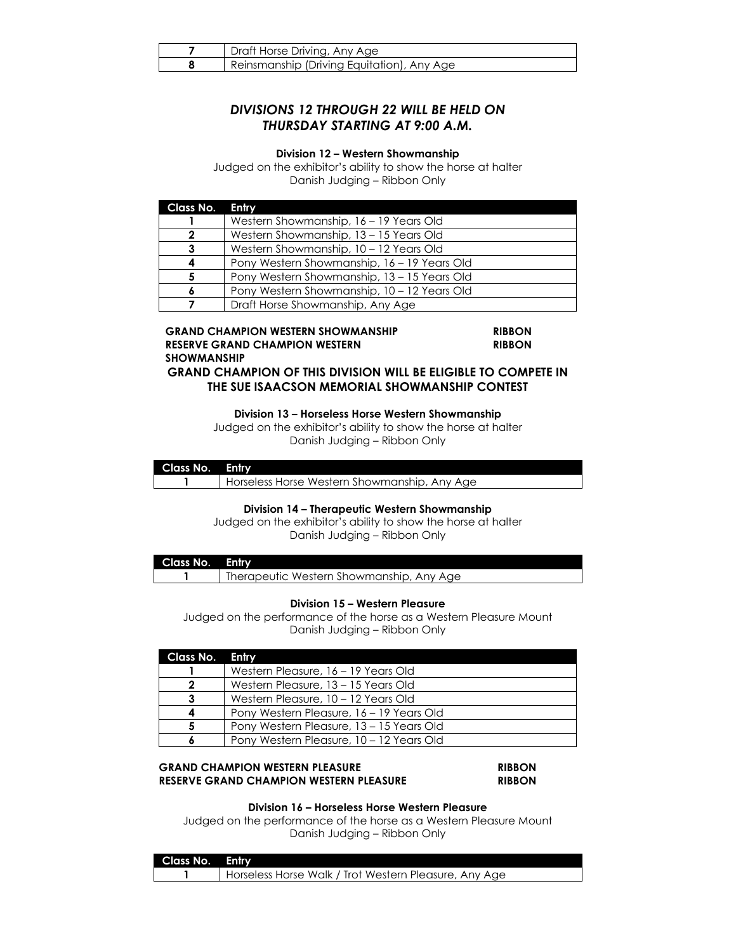| Draft Horse Driving, Any Age               |
|--------------------------------------------|
| Reinsmanship (Driving Equitation), Any Age |

# *DIVISIONS 12 THROUGH 22 WILL BE HELD ON THURSDAY STARTING AT 9:00 A.M.*

#### **Division 12 – Western Showmanship**

Judged on the exhibitor's ability to show the horse at halter Danish Judging – Ribbon Only

| Class No. | Entry                                       |
|-----------|---------------------------------------------|
|           | Western Showmanship, 16 - 19 Years Old      |
| 2         | Western Showmanship, 13 - 15 Years Old      |
|           | Western Showmanship, 10 - 12 Years Old      |
|           | Pony Western Showmanship, 16 - 19 Years Old |
| 5         | Pony Western Showmanship, 13 – 15 Years Old |
|           | Pony Western Showmanship, 10 - 12 Years Old |
|           | Draft Horse Showmanship, Any Age            |

#### **GRAND CHAMPION WESTERN SHOWMANSHIP RIBBON RESERVE GRAND CHAMPION WESTERN SHOWMANSHIP**

**RIBBON**

**GRAND CHAMPION OF THIS DIVISION WILL BE ELIGIBLE TO COMPETE IN THE SUE ISAACSON MEMORIAL SHOWMANSHIP CONTEST**

**Division 13 – Horseless Horse Western Showmanship**

Judged on the exhibitor's ability to show the horse at halter Danish Judging – Ribbon Only

| Class No. Entry |                                              |
|-----------------|----------------------------------------------|
|                 | Horseless Horse Western Showmanship, Any Age |

#### **Division 14 – Therapeutic Western Showmanship**

Judged on the exhibitor's ability to show the horse at halter Danish Judging – Ribbon Only

| Class No. Entry |                                          |
|-----------------|------------------------------------------|
|                 | Therapeutic Western Showmanship, Any Age |

#### **Division 15 – Western Pleasure**

Judged on the performance of the horse as a Western Pleasure Mount Danish Judging – Ribbon Only

| Class No. Entry |                                          |
|-----------------|------------------------------------------|
|                 | Western Pleasure, 16 – 19 Years Old      |
| ົ               | Western Pleasure, 13 – 15 Years Old      |
| 3               | Western Pleasure, 10 – 12 Years Old      |
|                 | Pony Western Pleasure, 16 – 19 Years Old |
|                 | Pony Western Pleasure, 13 - 15 Years Old |
|                 | Pony Western Pleasure, 10 – 12 Years Old |

### **GRAND CHAMPION WESTERN PLEASURE RIBBON RESERVE GRAND CHAMPION WESTERN PLEASURE RIBBON**

### **Division 16 – Horseless Horse Western Pleasure**

Judged on the performance of the horse as a Western Pleasure Mount Danish Judging – Ribbon Only

| Class No. Entry |                                                         |
|-----------------|---------------------------------------------------------|
|                 | I Horseless Horse Walk / Trot Western Pleasure, Any Age |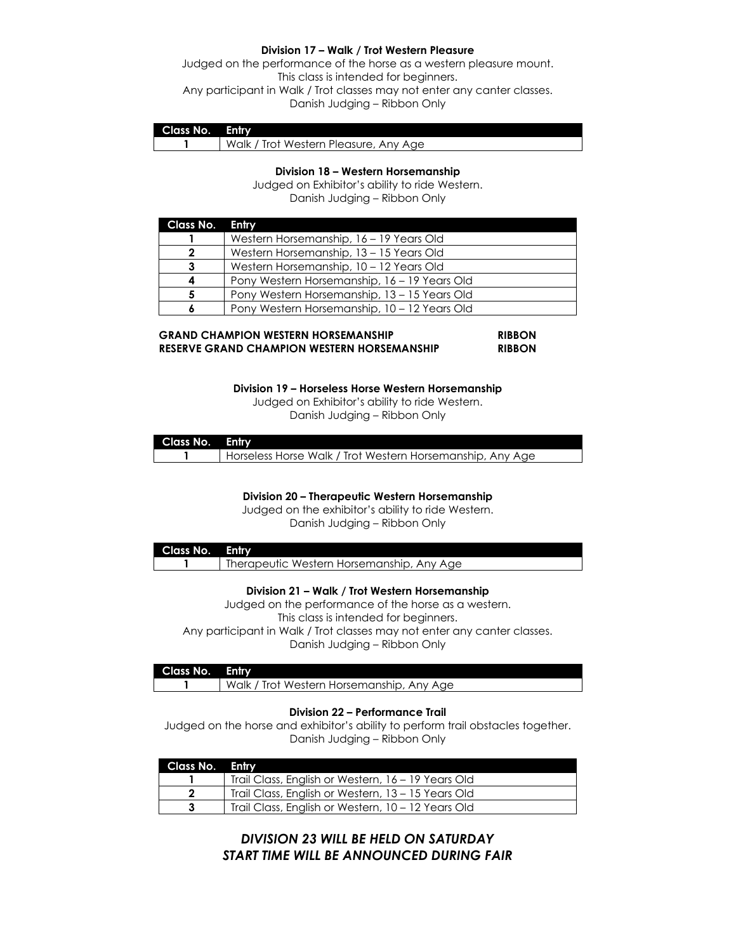#### **Division 17 – Walk / Trot Western Pleasure**

Judged on the performance of the horse as a western pleasure mount. This class is intended for beginners. Any participant in Walk / Trot classes may not enter any canter classes. Danish Judging – Ribbon Only

| Class No. | Entry                                 |
|-----------|---------------------------------------|
|           | Walk / Trot Western Pleasure, Any Age |

#### **Division 18 – Western Horsemanship**

Judged on Exhibitor's ability to ride Western. Danish Judging – Ribbon Only

| Class No. | <b>Entry</b>                                 |
|-----------|----------------------------------------------|
|           | Western Horsemanship, 16 - 19 Years Old      |
| 2         | Western Horsemanship, 13 - 15 Years Old      |
| 3         | Western Horsemanship, 10 - 12 Years Old      |
| 4         | Pony Western Horsemanship, 16 – 19 Years Old |
| 5         | Pony Western Horsemanship, 13 – 15 Years Old |
| 6         | Pony Western Horsemanship, 10 - 12 Years Old |

#### **GRAND CHAMPION WESTERN HORSEMANSHIP RIBBON RESERVE GRAND CHAMPION WESTERN HORSEMANSHIP RIBBON**

**Division 19 – Horseless Horse Western Horsemanship**

Judged on Exhibitor's ability to ride Western. Danish Judging – Ribbon Only

| Class No. Entry |                                                           |
|-----------------|-----------------------------------------------------------|
|                 | Horseless Horse Walk / Trot Western Horsemanship, Any Age |

**Division 20 – Therapeutic Western Horsemanship**

Judged on the exhibitor's ability to ride Western. Danish Judging – Ribbon Only

| Class No. Entry |                                           |
|-----------------|-------------------------------------------|
|                 | Therapeutic Western Horsemanship, Any Age |

#### **Division 21 – Walk / Trot Western Horsemanship**

Judged on the performance of the horse as a western. This class is intended for beginners. Any participant in Walk / Trot classes may not enter any canter classes. Danish Judging – Ribbon Only

| Class No. Entry |                                           |
|-----------------|-------------------------------------------|
|                 | Walk / Trot Western Horsemanship, Any Age |

#### **Division 22 – Performance Trail**

Judged on the horse and exhibitor's ability to perform trail obstacles together. Danish Judging – Ribbon Only

| Class No. Entry |                                                    |
|-----------------|----------------------------------------------------|
|                 | Trail Class, English or Western, 16 - 19 Years Old |
|                 | Trail Class, English or Western, 13 - 15 Years Old |
|                 | Trail Class, English or Western, 10 - 12 Years Old |

# *DIVISION 23 WILL BE HELD ON SATURDAY START TIME WILL BE ANNOUNCED DURING FAIR*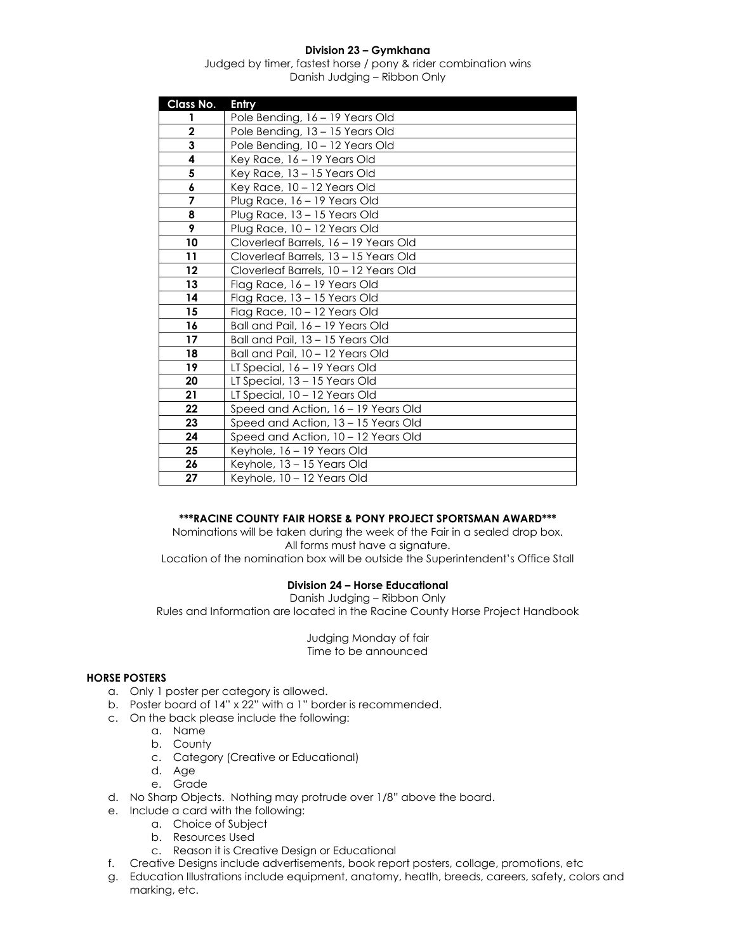## **Division 23 – Gymkhana**

Judged by timer, fastest horse / pony & rider combination wins Danish Judging – Ribbon Only

| Class No.      | Entry                                 |
|----------------|---------------------------------------|
| 1              | Pole Bending, 16 - 19 Years Old       |
| $\mathbf 2$    | Pole Bending, 13 - 15 Years Old       |
| 3              | Pole Bending, 10 - 12 Years Old       |
| 4              | Key Race, 16 - 19 Years Old           |
| 5              | Key Race, 13 - 15 Years Old           |
| 6              | Key Race, 10 - 12 Years Old           |
| $\overline{7}$ | Plug Race, 16 - 19 Years Old          |
| 8              | Plug Race, 13 - 15 Years Old          |
| 9              | Plug Race, 10 - 12 Years Old          |
| 10             | Cloverleaf Barrels, 16 - 19 Years Old |
| 11             | Cloverleaf Barrels, 13 - 15 Years Old |
| 12             | Cloverleaf Barrels, 10 - 12 Years Old |
| 13             | Flag Race, 16 – 19 Years Old          |
| 14             | Flag Race, 13 - 15 Years Old          |
| 15             | Flag Race, 10 - 12 Years Old          |
| 16             | Ball and Pail, 16 - 19 Years Old      |
| 17             | Ball and Pail, 13 - 15 Years Old      |
| 18             | Ball and Pail, 10 - 12 Years Old      |
| 19             | LT Special, 16 - 19 Years Old         |
| 20             | LT Special, 13 - 15 Years Old         |
| 21             | LT Special, 10 - 12 Years Old         |
| 22             | Speed and Action, 16 - 19 Years Old   |
| 23             | Speed and Action, 13 - 15 Years Old   |
| 24             | Speed and Action, 10 - 12 Years Old   |
| 25             | Keyhole, 16 - 19 Years Old            |
| 26             | Keyhole, 13 - 15 Years Old            |
| 27             | Keyhole, 10 - 12 Years Old            |

### **\*\*\*RACINE COUNTY FAIR HORSE & PONY PROJECT SPORTSMAN AWARD\*\*\***

Nominations will be taken during the week of the Fair in a sealed drop box. All forms must have a signature.

Location of the nomination box will be outside the Superintendent's Office Stall

#### **Division 24 – Horse Educational**

Danish Judging – Ribbon Only Rules and Information are located in the Racine County Horse Project Handbook

> Judging Monday of fair Time to be announced

#### **HORSE POSTERS**

- a. Only 1 poster per category is allowed.
- b. Poster board of 14" x 22" with a 1" border is recommended.
- c. On the back please include the following:
	- a. Name
	- b. County
	- c. Category (Creative or Educational)
	- d. Age
	- e. Grade
- d. No Sharp Objects. Nothing may protrude over 1/8" above the board.
- e. Include a card with the following:
	- a. Choice of Subject
	- b. Resources Used
	- c. Reason it is Creative Design or Educational
- f. Creative Designs include advertisements, book report posters, collage, promotions, etc
- g. Education Illustrations include equipment, anatomy, heatlh, breeds, careers, safety, colors and marking, etc.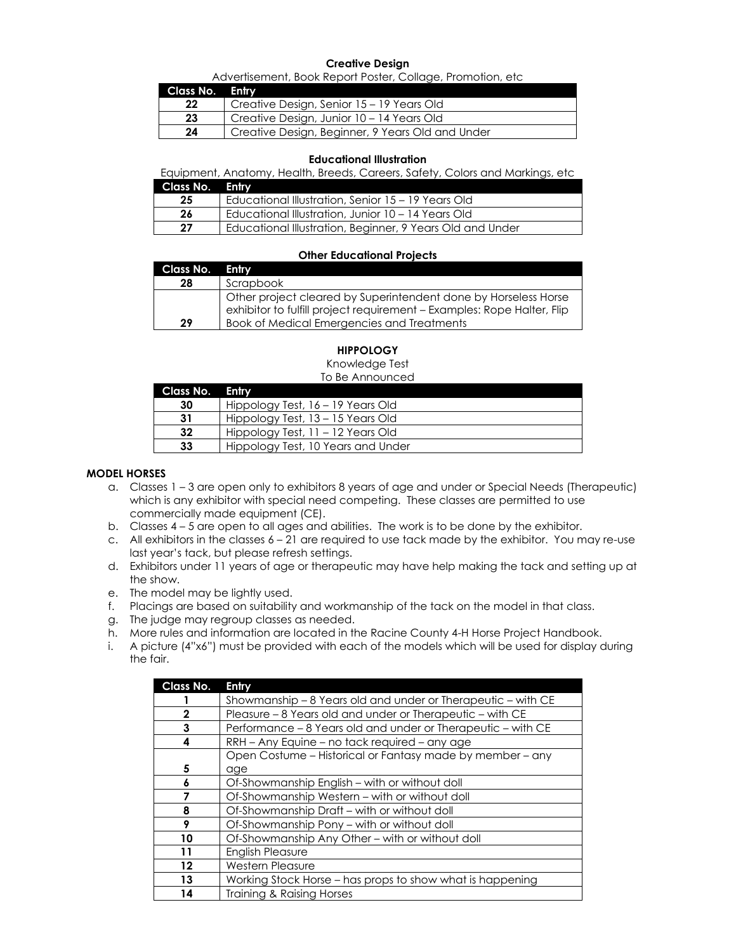#### **Creative Design**

Advertisement, Book Report Poster, Collage, Promotion, etc

| Class No. Entry |                                                  |
|-----------------|--------------------------------------------------|
| 22              | Creative Design, Senior 15 - 19 Years Old        |
| 23              | Creative Design, Junior 10 – 14 Years Old        |
| 24              | Creative Design, Beginner, 9 Years Old and Under |

#### **Educational Illustration**

Equipment, Anatomy, Health, Breeds, Careers, Safety, Colors and Markings, etc

| <b>Class No. Entry</b> |                                                           |
|------------------------|-----------------------------------------------------------|
| 25                     | Educational Illustration, Senior 15 – 19 Years Old        |
| 26                     | Educational Illustration, Junior 10 – 14 Years Old        |
| 27                     | Educational Illustration, Beginner, 9 Years Old and Under |

#### **Other Educational Projects**

| <b>Class No. Entry</b> |                                                                                                                                           |
|------------------------|-------------------------------------------------------------------------------------------------------------------------------------------|
| 28                     | Scrapbook                                                                                                                                 |
|                        | Other project cleared by Superintendent done by Horseless Horse<br>exhibitor to fulfill project requirement - Examples: Rope Halter, Flip |
| 29                     | Book of Medical Emergencies and Treatments                                                                                                |

#### **HIPPOLOGY**

Knowledge Test

To Be Announced

| Class No. Entry |                                    |
|-----------------|------------------------------------|
| 30              | Hippology Test, 16 - 19 Years Old  |
| 31              | Hippology Test, 13 – 15 Years Old  |
| 32              | Hippology Test, 11 – 12 Years Old  |
| 33              | Hippology Test, 10 Years and Under |
|                 |                                    |

#### **MODEL HORSES**

- a. Classes 1 3 are open only to exhibitors 8 years of age and under or Special Needs (Therapeutic) which is any exhibitor with special need competing. These classes are permitted to use commercially made equipment (CE).
- b. Classes 4 5 are open to all ages and abilities. The work is to be done by the exhibitor.
- c. All exhibitors in the classes  $6 21$  are required to use tack made by the exhibitor. You may re-use last year's tack, but please refresh settings.
- d. Exhibitors under 11 years of age or therapeutic may have help making the tack and setting up at the show.
- e. The model may be lightly used.
- f. Placings are based on suitability and workmanship of the tack on the model in that class.
- g. The judge may regroup classes as needed.
- h. More rules and information are located in the Racine County 4-H Horse Project Handbook.
- i. A picture (4"x6") must be provided with each of the models which will be used for display during the fair.

| Class No.         | <b>Entry</b>                                                 |
|-------------------|--------------------------------------------------------------|
|                   | Showmanship – 8 Years old and under or Therapeutic – with CE |
| 2                 | Pleasure - 8 Years old and under or Therapeutic - with CE    |
| 3                 | Performance – 8 Years old and under or Therapeutic – with CE |
| 4                 | RRH – Any Equine – no tack required – any age                |
|                   | Open Costume – Historical or Fantasy made by member – any    |
| 5                 | age                                                          |
|                   | Of-Showmanship English - with or without doll                |
|                   | Of-Showmanship Western - with or without doll                |
| 8                 | Of-Showmanship Draft – with or without doll                  |
| 9                 | Of-Showmanship Pony – with or without doll                   |
| 10                | Of-Showmanship Any Other – with or without doll              |
| 11                | <b>English Pleasure</b>                                      |
| $12 \overline{ }$ | <b>Western Pleasure</b>                                      |
| 13                | Working Stock Horse – has props to show what is happening    |
| 14                | Training & Raising Horses                                    |